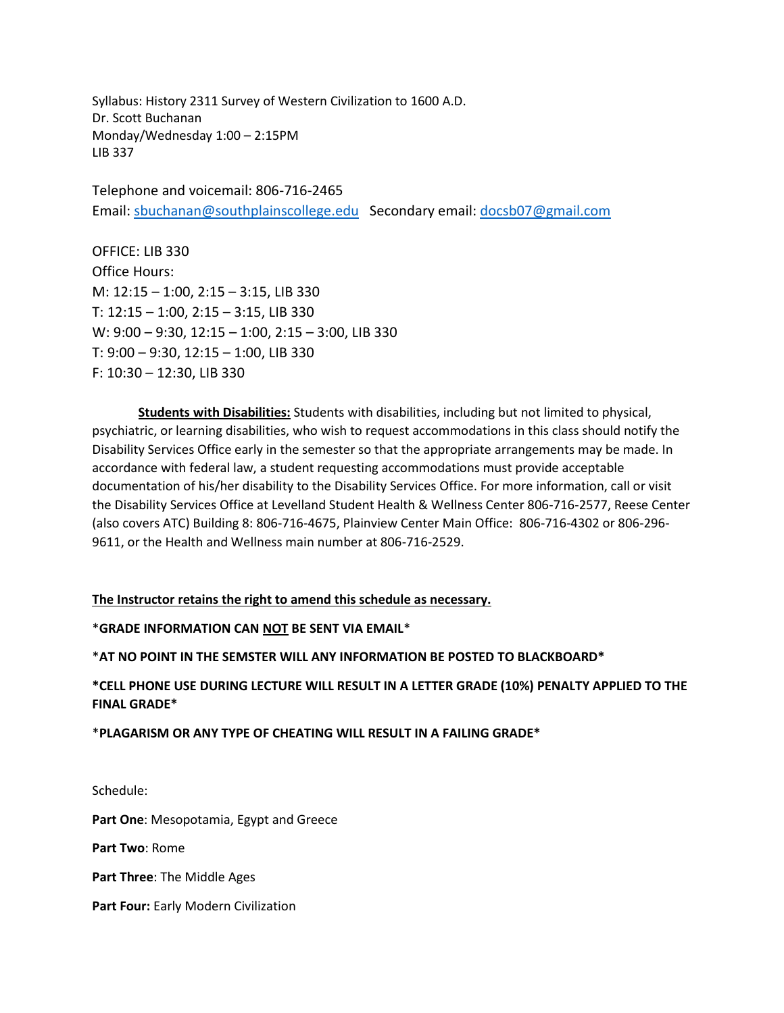Syllabus: History 2311 Survey of Western Civilization to 1600 A.D. Dr. Scott Buchanan Monday/Wednesday 1:00 – 2:15PM LIB 337

Telephone and voicemail: 806-716-2465 Email: [sbuchanan@southplainscollege.edu](mailto:sbuchanan@southplainscollege.edu) Secondary email: [docsb07@gmail.com](mailto:docsb07@gmail.com)

OFFICE: LIB 330 Office Hours: M: 12:15 – 1:00, 2:15 – 3:15, LIB 330 T: 12:15 – 1:00, 2:15 – 3:15, LIB 330 W: 9:00 – 9:30, 12:15 – 1:00, 2:15 – 3:00, LIB 330 T: 9:00 – 9:30, 12:15 – 1:00, LIB 330 F: 10:30 – 12:30, LIB 330

**Students with Disabilities:** Students with disabilities, including but not limited to physical, psychiatric, or learning disabilities, who wish to request accommodations in this class should notify the Disability Services Office early in the semester so that the appropriate arrangements may be made. In accordance with federal law, a student requesting accommodations must provide acceptable documentation of his/her disability to the Disability Services Office. For more information, call or visit the Disability Services Office at Levelland Student Health & Wellness Center 806-716-2577, Reese Center (also covers ATC) Building 8: 806-716-4675, Plainview Center Main Office: 806-716-4302 or 806-296- 9611, or the Health and Wellness main number at 806-716-2529.

**The Instructor retains the right to amend this schedule as necessary.**

\***GRADE INFORMATION CAN NOT BE SENT VIA EMAIL**\*

\***AT NO POINT IN THE SEMSTER WILL ANY INFORMATION BE POSTED TO BLACKBOARD\***

**\*CELL PHONE USE DURING LECTURE WILL RESULT IN A LETTER GRADE (10%) PENALTY APPLIED TO THE FINAL GRADE\***

\***PLAGARISM OR ANY TYPE OF CHEATING WILL RESULT IN A FAILING GRADE\***

Schedule:

**Part One**: Mesopotamia, Egypt and Greece

**Part Two**: Rome

**Part Three**: The Middle Ages

**Part Four:** Early Modern Civilization